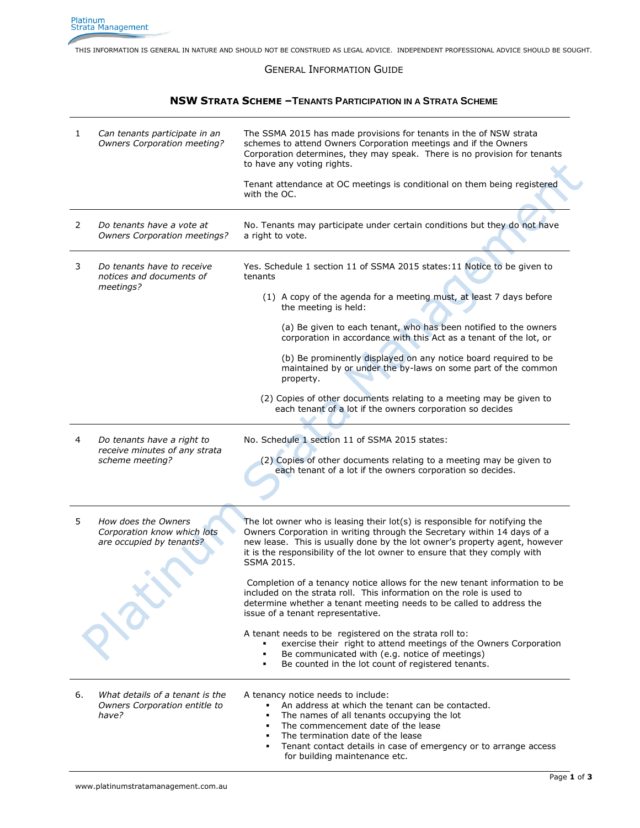THIS INFORMATION IS GENERAL IN NATURE AND SHOULD NOT BE CONSTRUED AS LEGAL ADVICE. INDEPENDENT PROFESSIONAL ADVICE SHOULD BE SOUGHT.

## GENERAL INFORMATION GUIDE

## **NSW STRATA SCHEME –TENANTS PARTICIPATION IN A STRATA SCHEME**

| 1  | Can tenants participate in an<br><b>Owners Corporation meeting?</b>            | The SSMA 2015 has made provisions for tenants in the of NSW strata<br>schemes to attend Owners Corporation meetings and if the Owners<br>Corporation determines, they may speak. There is no provision for tenants<br>to have any voting rights.                                                                                 |
|----|--------------------------------------------------------------------------------|----------------------------------------------------------------------------------------------------------------------------------------------------------------------------------------------------------------------------------------------------------------------------------------------------------------------------------|
|    |                                                                                | Tenant attendance at OC meetings is conditional on them being registered<br>with the OC.                                                                                                                                                                                                                                         |
| 2  | Do tenants have a vote at<br><b>Owners Corporation meetings?</b>               | No. Tenants may participate under certain conditions but they do not have<br>a right to vote.                                                                                                                                                                                                                                    |
| 3  | Do tenants have to receive<br>notices and documents of<br>meetings?            | Yes. Schedule 1 section 11 of SSMA 2015 states: 11 Notice to be given to<br>tenants                                                                                                                                                                                                                                              |
|    |                                                                                | (1) A copy of the agenda for a meeting must, at least 7 days before<br>the meeting is held:                                                                                                                                                                                                                                      |
|    |                                                                                | (a) Be given to each tenant, who has been notified to the owners<br>corporation in accordance with this Act as a tenant of the lot, or                                                                                                                                                                                           |
|    |                                                                                | (b) Be prominently displayed on any notice board required to be<br>maintained by or under the by-laws on some part of the common<br>property.                                                                                                                                                                                    |
|    |                                                                                | (2) Copies of other documents relating to a meeting may be given to<br>each tenant of a lot if the owners corporation so decides                                                                                                                                                                                                 |
| 4  | Do tenants have a right to<br>receive minutes of any strata<br>scheme meeting? | No. Schedule 1 section 11 of SSMA 2015 states:<br>(2) Copies of other documents relating to a meeting may be given to<br>each tenant of a lot if the owners corporation so decides.                                                                                                                                              |
| 5  | How does the Owners<br>Corporation know which lots<br>are occupied by tenants? | The lot owner who is leasing their $lot(s)$ is responsible for notifying the<br>Owners Corporation in writing through the Secretary within 14 days of a<br>new lease. This is usually done by the lot owner's property agent, however<br>it is the responsibility of the lot owner to ensure that they comply with<br>SSMA 2015. |
|    |                                                                                | Completion of a tenancy notice allows for the new tenant information to be<br>included on the strata roll. This information on the role is used to<br>determine whether a tenant meeting needs to be called to address the<br>issue of a tenant representative.                                                                  |
|    |                                                                                | A tenant needs to be registered on the strata roll to:<br>exercise their right to attend meetings of the Owners Corporation<br>Be communicated with (e.g. notice of meetings)<br>٠<br>Be counted in the lot count of registered tenants.                                                                                         |
| 6. | What details of a tenant is the<br>Owners Corporation entitle to<br>have?      | A tenancy notice needs to include:<br>An address at which the tenant can be contacted.<br>٠.<br>The names of all tenants occupying the lot<br>The commencement date of the lease<br>The termination date of the lease<br>Tenant contact details in case of emergency or to arrange access<br>٠<br>for building maintenance etc.  |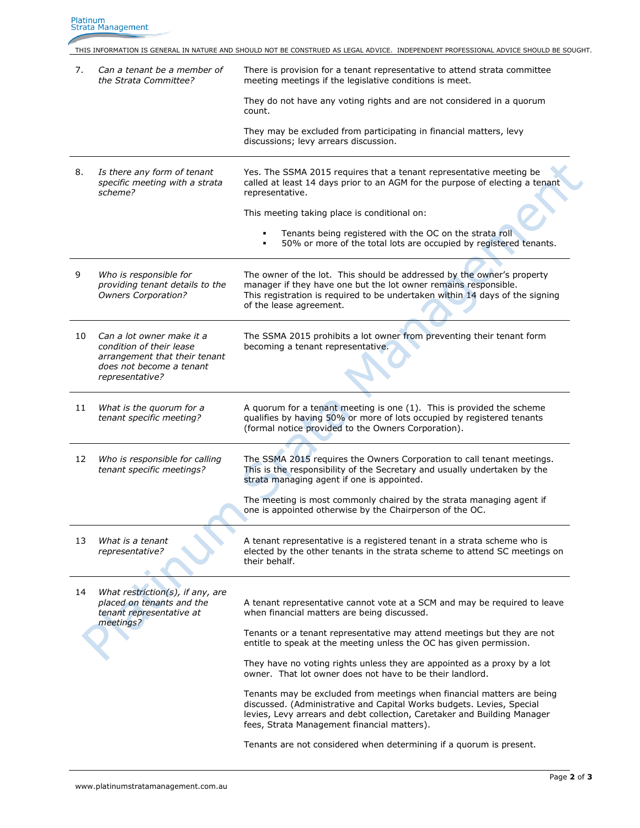|    |                                                                                                                                       | THIS INFORMATION IS GENERAL IN NATURE AND SHOULD NOT BE CONSTRUED AS LEGAL ADVICE. INDEPENDENT PROFESSIONAL ADVICE SHOULD BE SOUGHT.                                                                                                                                       |
|----|---------------------------------------------------------------------------------------------------------------------------------------|----------------------------------------------------------------------------------------------------------------------------------------------------------------------------------------------------------------------------------------------------------------------------|
| 7. | Can a tenant be a member of<br>the Strata Committee?                                                                                  | There is provision for a tenant representative to attend strata committee<br>meeting meetings if the legislative conditions is meet.                                                                                                                                       |
|    |                                                                                                                                       | They do not have any voting rights and are not considered in a guorum<br>count.                                                                                                                                                                                            |
|    |                                                                                                                                       | They may be excluded from participating in financial matters, levy<br>discussions; levy arrears discussion.                                                                                                                                                                |
| 8. | Is there any form of tenant<br>specific meeting with a strata<br>scheme?                                                              | Yes. The SSMA 2015 requires that a tenant representative meeting be<br>called at least 14 days prior to an AGM for the purpose of electing a tenant<br>representative.                                                                                                     |
|    |                                                                                                                                       | This meeting taking place is conditional on:                                                                                                                                                                                                                               |
|    |                                                                                                                                       | Tenants being registered with the OC on the strata roll<br>50% or more of the total lots are occupied by registered tenants.                                                                                                                                               |
| 9  | Who is responsible for<br>providing tenant details to the<br>Owners Corporation?                                                      | The owner of the lot. This should be addressed by the owner's property<br>manager if they have one but the lot owner remains responsible.<br>This registration is required to be undertaken within 14 days of the signing<br>of the lease agreement.                       |
| 10 | Can a lot owner make it a<br>condition of their lease<br>arrangement that their tenant<br>does not become a tenant<br>representative? | The SSMA 2015 prohibits a lot owner from preventing their tenant form<br>becoming a tenant representative.                                                                                                                                                                 |
| 11 | What is the quorum for a<br>tenant specific meeting?                                                                                  | A quorum for a tenant meeting is one (1). This is provided the scheme<br>qualifies by having 50% or more of lots occupied by registered tenants<br>(formal notice provided to the Owners Corporation).                                                                     |
| 12 | Who is responsible for calling<br>tenant specific meetings?                                                                           | The SSMA 2015 requires the Owners Corporation to call tenant meetings.<br>This is the responsibility of the Secretary and usually undertaken by the<br>strata managing agent if one is appointed.                                                                          |
|    |                                                                                                                                       | The meeting is most commonly chaired by the strata managing agent if<br>one is appointed otherwise by the Chairperson of the OC.                                                                                                                                           |
| 13 | What is a tenant<br>representative?                                                                                                   | A tenant representative is a registered tenant in a strata scheme who is<br>elected by the other tenants in the strata scheme to attend SC meetings on<br>their behalf.                                                                                                    |
| 14 | What restriction(s), if any, are<br>placed on tenants and the<br>tenant representative at                                             | A tenant representative cannot vote at a SCM and may be required to leave<br>when financial matters are being discussed.                                                                                                                                                   |
|    | meetings?                                                                                                                             | Tenants or a tenant representative may attend meetings but they are not<br>entitle to speak at the meeting unless the OC has given permission.                                                                                                                             |
|    |                                                                                                                                       | They have no voting rights unless they are appointed as a proxy by a lot<br>owner. That lot owner does not have to be their landlord.                                                                                                                                      |
|    |                                                                                                                                       | Tenants may be excluded from meetings when financial matters are being<br>discussed. (Administrative and Capital Works budgets. Levies, Special<br>levies, Levy arrears and debt collection, Caretaker and Building Manager<br>fees, Strata Management financial matters). |
|    |                                                                                                                                       | Tenants are not considered when determining if a quorum is present.                                                                                                                                                                                                        |